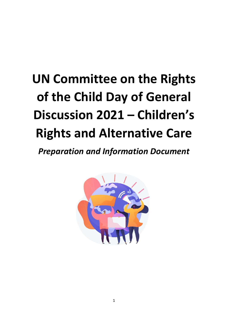# **UN Committee on the Rights of the Child Day of General Discussion 2021 – Children's Rights and Alternative Care**

*Preparation and Information Document*

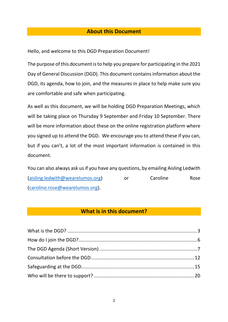#### **About this Document**

Hello, and welcome to this DGD Preparation Document!

The purpose of this document is to help you prepare for participating in the 2021 Day of General Discussion (DGD). This document contains information about the DGD, its agenda, how to join, and the measures in place to help make sure you are comfortable and safe when participating.

As well as this document, we will be holding DGD Preparation Meetings, which will be taking place on Thursday 9 September and Friday 10 September. There will be more information about these on the online registration platform where you signed up to attend the DGD. We encourage you to attend these if you can, but if you can't, a lot of the most important information is contained in this document.

You can also always ask us if you have any questions, by emailing Aisling Ledwith [\(aisling.ledwith@wearelumos.org\)](mailto:aisling.ledwith@wearelumos.org) or Caroline Rose [\(caroline.rose@wearelumos.org\)](mailto:caroline.rose@wearelumos.org).

#### **What is in this document?**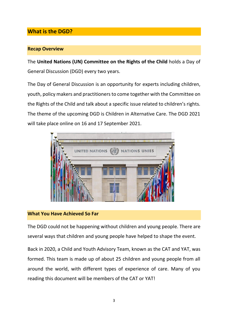### <span id="page-2-0"></span>**What is the DGD?**

#### **Recap Overview**

The **United Nations (UN) Committee on the Rights of the Child** holds a Day of General Discussion (DGD) every two years.

The Day of General Discussion is an opportunity for experts including children, youth, policy makers and practitioners to come together with the Committee on the Rights of the Child and talk about a specific issue related to children's rights. The theme of the upcoming DGD is Children in Alternative Care. The DGD 2021 will take place online on 16 and 17 September 2021.



#### **What You Have Achieved So Far**

The DGD could not be happening without children and young people. There are several ways that children and young people have helped to shape the event.

Back in 2020, a Child and Youth Advisory Team, known as the CAT and YAT, was formed. This team is made up of about 25 children and young people from all around the world, with different types of experience of care. Many of you reading this document will be members of the CAT or YAT!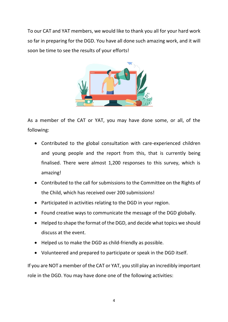To our CAT and YAT members, we would like to thank you all for your hard work so far in preparing for the DGD. You have all done such amazing work, and it will soon be time to see the results of your efforts!



As a member of the CAT or YAT, you may have done some, or all, of the following:

- Contributed to the global consultation with care-experienced children and young people and the report from this, that is currently being finalised. There were almost 1,200 responses to this survey, which is amazing!
- Contributed to the call for submissions to the Committee on the Rights of the Child, which has received over 200 submissions!
- Participated in activities relating to the DGD in your region.
- Found creative ways to communicate the message of the DGD globally.
- Helped to shape the format of the DGD, and decide what topics we should discuss at the event.
- Helped us to make the DGD as child-friendly as possible.
- Volunteered and prepared to participate or speak in the DGD itself.

If you are NOT a member of the CAT or YAT, you still play an incredibly important role in the DGD. You may have done one of the following activities: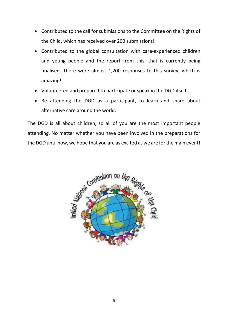- Contributed to the call for submissions to the Committee on the Rights of the Child, which has received over 200 submissions!
- Contributed to the global consultation with care-experienced children and young people and the report from this, that is currently being finalised. There were almost 1,200 responses to this survey, which is amazing!
- Volunteered and prepared to participate or speak in the DGD itself.
- Be attending the DGD as a participant, to learn and share about alternative care around the world.

The DGD is all about children, so all of you are the most important people attending. No matter whether you have been involved in the preparations for the DGD until now, we hope that you are as excited as we are for the main event!

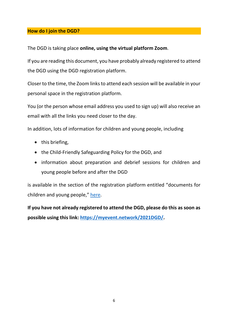#### <span id="page-5-0"></span>**How do I join the DGD?**

The DGD is taking place **online, using the virtual platform Zoom**.

If you are reading this document, you have probably already registered to attend the DGD using the DGD registration platform.

Closer to the time, the Zoom links to attend each session will be available in your personal space in the registration platform.

You (or the person whose email address you used to sign up) will also receive an email with all the links you need closer to the day.

In addition, lots of information for children and young people, including

- this briefing,
- the Child-Friendly Safeguarding Policy for the DGD, and
- information about preparation and debrief sessions for children and young people before and after the DGD

is available in the section of the registration platform entitled "documents for children and young people," [here.](https://myevent.network/2021DGD/en/child-safety-documents/)

**If you have not already registered to attend the DGD, please do this as soon as possible using this link: [https://myevent.network/2021DGD/.](https://myevent.network/2021DGD/)**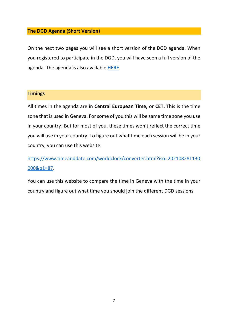#### <span id="page-6-0"></span>**The DGD Agenda (Short Version)**

On the next two pages you will see a short version of the DGD agenda. When you registered to participate in the DGD, you will have seen a full version of the agenda. The agenda is also available [HERE.](https://www.ohchr.org/EN/HRBodies/CRC/Pages/Discussion2020.aspx)

#### **Timings**

All times in the agenda are in **Central European Time,** or **CET.** This is the time zone that is used in Geneva. For some of you this will be same time zone you use in your country! But for most of you, these times won't reflect the correct time you will use in your country. To figure out what time each session will be in your country, you can use this website:

[https://www.timeanddate.com/worldclock/converter.html?iso=20210828T130](https://www.timeanddate.com/worldclock/converter.html?iso=20210828T130000&p1=87) [000&p1=87.](https://www.timeanddate.com/worldclock/converter.html?iso=20210828T130000&p1=87)

You can use this website to compare the time in Geneva with the time in your country and figure out what time you should join the different DGD sessions.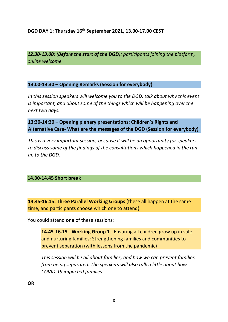#### **DGD DAY 1: Thursday 16th September 2021, 13.00-17.00 CEST**

*12.30-13.00: (Before the start of the DGD): participants joining the platform, online welcome*

#### **13.00-13:30 – Opening Remarks (Session for everybody)**

*In this session speakers will welcome you to the DGD, talk about why this event is important, and about some of the things which will be happening over the next two days.* 

#### **13:30-14:30 – Opening plenary presentations: Children's Rights and Alternative Care- What are the messages of the DGD (Session for everybody)**

*This is a very important session, because it will be an opportunity for speakers to discuss some of the findings of the consultations which happened in the run up to the DGD.* 

#### **14.30-14.45 Short break**

**14.45-16.15: Three Parallel Working Groups** (these all happen at the same time, and participants choose which one to attend)

You could attend **one** of these sessions:

**14.45-16.15 - Working Group 1** - Ensuring all children grow up in safe and nurturing families: Strengthening families and communities to prevent separation (with lessons from the pandemic)

*This session will be all about families, and how we can prevent families from being separated. The speakers will also talk a little about how COVID-19 impacted families.*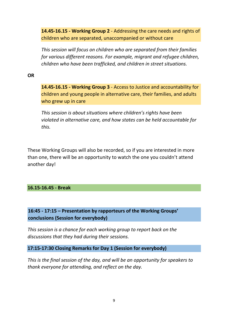**14.45-16.15 - Working Group 2** - Addressing the care needs and rights of children who are separated, unaccompanied or without care

*This session will focus on children who are separated from their families for various different reasons. For example, migrant and refugee children, children who have been trafficked, and children in street situations.* 

#### **OR**

**14.45-16.15 - Working Group 3** - Access to Justice and accountability for children and young people in alternative care, their families, and adults who grew up in care

*This session is about situations where children's rights have been violated in alternative care, and how states can be held accountable for this.* 

These Working Groups will also be recorded, so if you are interested in more than one, there will be an opportunity to watch the one you couldn't attend another day!

#### **16.15-16.45 - Break**

### **16:45 - 17:15 – Presentation by rapporteurs of the Working Groups' conclusions (Session for everybody)**

*This session is a chance for each working group to report back on the discussions that they had during their sessions.* 

**17:15-17:30 Closing Remarks for Day 1 (Session for everybody)**

*This is the final session of the day, and will be an opportunity for speakers to thank everyone for attending, and reflect on the day.*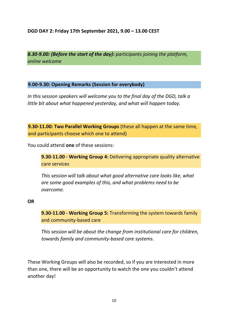#### **DGD DAY 2: Friday 17th September 2021, 9.00 – 13.00 CEST**

*8.30-9.00: (Before the start of the day): participants joining the platform, online welcome*

#### **9.00-9.30: Opening Remarks (Session for everybody)**

*In this session speakers will welcome you to the final day of the DGD, talk a little bit about what happened yesterday, and what will happen today.* 

**9.30-11.00: Two Parallel Working Groups** (these all happen at the same time, and participants choose which one to attend)

You could attend **one** of these sessions:

**9.30-11.00 - Working Group 4:** Delivering appropriate quality alternative care services

*This session will talk about what good alternative care looks like, what are some good examples of this, and what problems need to be overcome.* 

#### **OR**

**9.30-11.00 - Working Group 5:** Transforming the system towards family and community-based care

*This session will be about the change from institutional care for children, towards family and community-based care systems.* 

These Working Groups will also be recorded, so if you are interested in more than one, there will be an opportunity to watch the one you couldn't attend another day!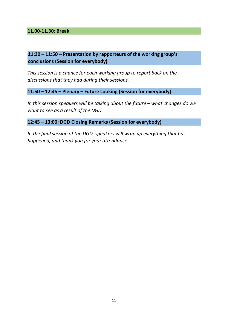**11.00-11.30: Break**

#### **11:30 – 11:50 – Presentation by rapporteurs of the working group's conclusions (Session for everybody)**

*This session is a chance for each working group to report back on the discussions that they had during their sessions.* 

**11:50 – 12:45 – Plenary – Future Looking (Session for everybody)**

*In this session speakers will be talking about the future – what changes do we want to see as a result of the DGD.* 

**12:45 – 13:00: DGD Closing Remarks (Session for everybody)**

*In the final session of the DGD, speakers will wrap up everything that has happened, and thank you for your attendance.*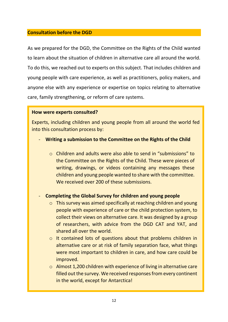#### <span id="page-11-0"></span>**Consultation before the DGD**

As we prepared for the DGD, the Committee on the Rights of the Child wanted to learn about the situation of children in alternative care all around the world. To do this, we reached out to experts on this subject. That includes children and young people with care experience, as well as practitioners, policy makers, and anyone else with any experience or expertise on topics relating to alternative care, family strengthening, or reform of care systems.

#### **How were experts consulted?**

Experts, including children and young people from all around the world fed into this consultation process by:

- **Writing a submission to the Committee on the Rights of the Child** 
	- o Children and adults were also able to send in "submissions" to the Committee on the Rights of the Child. These were pieces of writing, drawings, or videos containing any messages these children and young people wanted to share with the committee. We received over 200 of these submissions.

#### - **Completing the Global Survey for children and young people**

- o This survey was aimed specifically at reaching children and young people with experience of care or the child protection system, to collect their views on alternative care. It was designed by a group of researchers, with advice from the DGD CAT and YAT, and shared all over the world.
- o It contained lots of questions about that problems children in alternative care or at risk of family separation face, what things were most important to children in care, and how care could be improved.
- o Almost 1,200 children with experience of living in alternative care filled out the survey. We received responses from every continent in the world, except for Antarctica!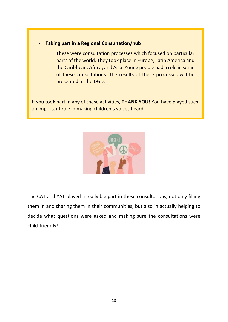#### - **Taking part in a Regional Consultation/hub**

o These were consultation processes which focused on particular parts of the world. They took place in Europe, Latin America and the Caribbean, Africa, and Asia. Young people had a role in some of these consultations. The results of these processes will be presented at the DGD.

If you took part in any of these activities, **THANK YOU!** You have played such an important role in making children's voices heard.



The CAT and YAT played a really big part in these consultations, not only filling them in and sharing them in their communities, but also in actually helping to decide what questions were asked and making sure the consultations were child-friendly!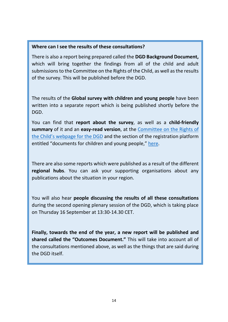#### **Where can I see the results of these consultations?**

There is also a report being prepared called the **DGD Background Document,**  which will bring together the findings from all of the child and adult submissions to the Committee on the Rights of the Child, as well as the results of the survey. This will be published before the DGD.

The results of the **Global survey with children and young people** have been written into a separate report which is being published shortly before the DGD.

You can find that **report about the survey**, as well as a **child-friendly summary** of it and an **easy-read version**, at the Committee [on the Rights of](https://www.ohchr.org/EN/HRBodies/CRC/Pages/Discussion2020.aspx)  the Child's webpage [for the DGD](https://www.ohchr.org/EN/HRBodies/CRC/Pages/Discussion2020.aspx) and the section of the registration platform entitled "documents for children and young people," [here.](https://myevent.network/2021DGD/en/child-safety-documents/)

There are also some reports which were published as a result of the different **regional hubs**. You can ask your supporting organisations about any publications about the situation in your region.

You will also hear **people discussing the results of all these consultations** during the second opening plenary session of the DGD, which is taking place on Thursday 16 September at 13:30-14.30 CET.

**Finally, towards the end of the year, a new report will be published and shared called the "Outcomes Document."** This will take into account all of the consultations mentioned above, as well as the things that are said during the DGD itself.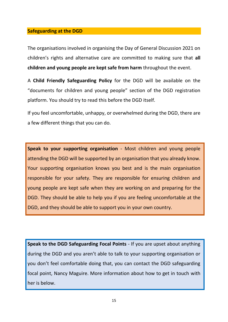#### <span id="page-14-0"></span>**Safeguarding at the DGD**

The organisations involved in organising the Day of General Discussion 2021 on children's rights and alternative care are committed to making sure that **all children and young people are kept safe from harm** throughout the event.

A **Child Friendly Safeguarding Policy** for the DGD will be available on the "documents for children and young people" section of the DGD registration platform. You should try to read this before the DGD itself.

If you feel uncomfortable, unhappy, or overwhelmed during the DGD, there are a few different things that you can do.

**Speak to your supporting organisation** - Most children and young people attending the DGD will be supported by an organisation that you already know. Your supporting organisation knows you best and is the main organisation responsible for your safety. They are responsible for ensuring children and young people are kept safe when they are working on and preparing for the DGD. They should be able to help you if you are feeling uncomfortable at the DGD, and they should be able to support you in your own country.

**Speak to the DGD Safeguarding Focal Points** - If you are upset about anything during the DGD and you aren't able to talk to your supporting organisation or you don't feel comfortable doing that, you can contact the DGD safeguarding focal point, Nancy Maguire. More information about how to get in touch with her is below.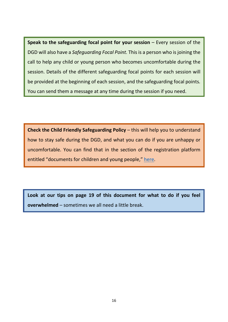**Speak to the safeguarding focal point for your session** – Every session of the DGD will also have a *Safeguarding Focal Point.* This is a person who is joining the call to help any child or young person who becomes uncomfortable during the session. Details of the different safeguarding focal points for each session will be provided at the beginning of each session, and the safeguarding focal points. You can send them a message at any time during the session if you need.

**Check the Child Friendly Safeguarding Policy** – this will help you to understand how to stay safe during the DGD, and what you can do if you are unhappy or uncomfortable. You can find that in the section of the registration platform entitled "documents for children and young people," [here.](https://myevent.network/2021DGD/en/child-safety-documents/)

**Look at our tips on page 19 of this document for what to do if you feel overwhelmed** – sometimes we all need a little break.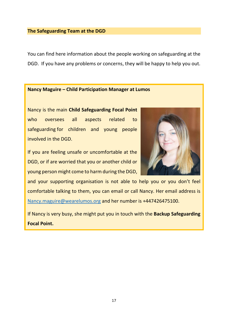#### **The Safeguarding Team at the DGD**

You can find here information about the people working on safeguarding at the DGD. If you have any problems or concerns, they will be happy to help you out.

#### **Nancy Maguire – Child Participation Manager at Lumos**

Nancy is the main **Child Safeguarding Focal Point** who oversees all aspects related to safeguarding for children and young people involved in the DGD.

If you are feeling unsafe or uncomfortable at the DGD, or if are worried that you or another child or young person might come to harm during the DGD,



and your supporting organisation is not able to help you or you don't feel comfortable talking to them, you can email or call Nancy. Her email address is [Nancy.maguire@wearelumos.org](mailto:Nancy.maguire@wearelumos.org) and her number is +447426475100.

If Nancy is very busy, she might put you in touch with the **Backup Safeguarding Focal Point.**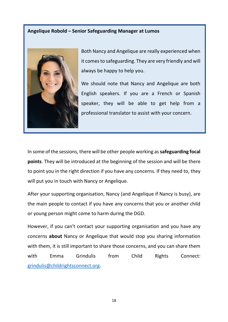#### **Angelique Robold – Senior Safeguarding Manager at Lumos**



Both Nancy and Angelique are really experienced when it comes to safeguarding. They are very friendly and will always be happy to help you.

We should note that Nancy and Angelique are both English speakers. If you are a French or Spanish speaker, they will be able to get help from a professional translator to assist with your concern.

In some of the sessions, there will be other people working as **safeguarding focal points**. They will be introduced at the beginning of the session and will be there to point you in the right direction if you have any concerns. If they need to, they will put you in touch with Nancy or Angelique.

After your supporting organisation, Nancy (and Angelique if Nancy is busy), are the main people to contact if you have any concerns that you or another child or young person might come to harm during the DGD.

However, if you can't contact your supporting organisation and you have any concerns **about** Nancy or Angelique that would stop you sharing information with them, it is still important to share those concerns, and you can share them with Emma Grindulis from Child Rights Connect: [grindulis@childrightsconnect.org.](mailto:grindulis@childrightsconnect.org)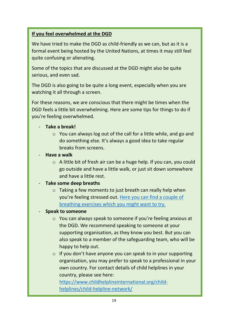#### **If you feel overwhelmed at the DGD**

We have tried to make the DGD as child-friendly as we can, but as it is a formal event being hosted by the United Nations, at times it may still feel quite confusing or alienating.

Some of the topics that are discussed at the DGD might also be quite serious, and even sad.

The DGD is also going to be quite a long event, especially when you are watching it all through a screen.

For these reasons, we are conscious that there might be times when the DGD feels a little bit overwhelming. Here are some tips for things to do if you're feeling overwhelmed.

#### - **Take a break!**

- o You can always log out of the call for a little while, and go and do something else. It's always a good idea to take regular breaks from screens.
- **Have a walk**
	- o A little bit of fresh air can be a huge help. If you can, you could go outside and have a little walk, or just sit down somewhere and have a little rest.

#### - **Take some deep breaths**

o Taking a few moments to just breath can really help when you're feeling stressed out. [Here you can find a couple of](https://cosmickids.com/five-fun-breathing-exercises-for-kids/)  [breathing exercises which you might want to try.](https://cosmickids.com/five-fun-breathing-exercises-for-kids/)

#### - **Speak to someone**

- o You can always speak to someone if you're feeling anxious at the DGD. We recommend speaking to someone at your supporting organisation, as they know you best. But you can also speak to a member of the safeguarding team, who will be happy to help out.
- $\circ$  If you don't have anyone you can speak to in your supporting organisation, you may prefer to speak to a professional in your own country. For contact details of child helplines in your country, please see here:

[https://www.childhelplineinternational.org/child](https://www.childhelplineinternational.org/child-helplines/child-helpline-network/)[helplines/child-helpline-network/](https://www.childhelplineinternational.org/child-helplines/child-helpline-network/)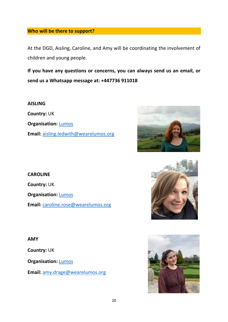#### <span id="page-19-0"></span>**Who will be there to support?**

At the DGD, Aisling, Caroline, and Amy will be coordinating the involvement of children and young people.

**If you have any questions or concerns, you can always send us an email, or send us a Whatsapp message at: +447736 911018**

**AISLING Country:** UK **Organisation: [Lumos](https://www.wearelumos.org/) Email:** [aisling.ledwith@wearelumos.org](mailto:aisling.ledwith@wearelumos.org)



## **CAROLINE Country:** UK **Organisation:** [Lumos](https://www.wearelumos.org/) **Email:** [caroline.rose@wearelumos.org](mailto:caroline.rose@wearelumos.org)

#### **AMY**

**Country:** UK

**Organisation:** [Lumos](https://www.wearelumos.org/)

**Email:** [amy.drage@wearelumos.org](mailto:amy.drage@wearelumos.org)